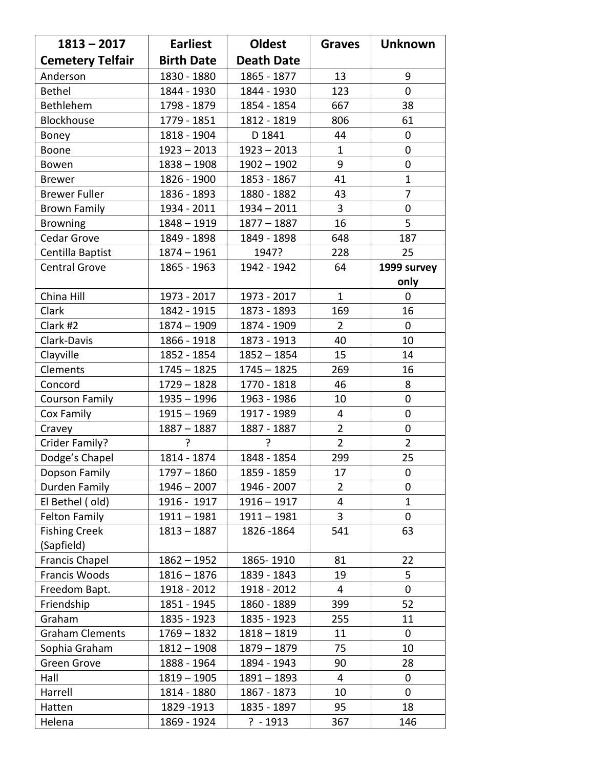| $1813 - 2017$           | <b>Earliest</b>   | <b>Oldest</b>     | <b>Graves</b>  | <b>Unknown</b> |
|-------------------------|-------------------|-------------------|----------------|----------------|
| <b>Cemetery Telfair</b> | <b>Birth Date</b> | <b>Death Date</b> |                |                |
| Anderson                | 1830 - 1880       | 1865 - 1877       | 13             | 9              |
| <b>Bethel</b>           | 1844 - 1930       | 1844 - 1930       | 123            | 0              |
| Bethlehem               | 1798 - 1879       | 1854 - 1854       | 667            | 38             |
| Blockhouse              | 1779 - 1851       | 1812 - 1819       | 806            | 61             |
| Boney                   | 1818 - 1904       | D 1841            | 44             | 0              |
| Boone                   | $1923 - 2013$     | $1923 - 2013$     | $\mathbf{1}$   | 0              |
| Bowen                   | $1838 - 1908$     | $1902 - 1902$     | 9              | 0              |
| <b>Brewer</b>           | 1826 - 1900       | 1853 - 1867       | 41             | $\mathbf{1}$   |
| <b>Brewer Fuller</b>    | 1836 - 1893       | 1880 - 1882       | 43             | $\overline{7}$ |
| <b>Brown Family</b>     | 1934 - 2011       | $1934 - 2011$     | 3              | 0              |
| <b>Browning</b>         | $1848 - 1919$     | $1877 - 1887$     | 16             | 5              |
| Cedar Grove             | 1849 - 1898       | 1849 - 1898       | 648            | 187            |
| Centilla Baptist        | $1874 - 1961$     | 1947?             | 228            | 25             |
| <b>Central Grove</b>    | 1865 - 1963       | 1942 - 1942       | 64             | 1999 survey    |
|                         |                   |                   |                | only           |
| China Hill              | 1973 - 2017       | 1973 - 2017       | $\mathbf{1}$   | 0              |
| Clark                   | 1842 - 1915       | 1873 - 1893       | 169            | 16             |
| Clark #2                | $1874 - 1909$     | 1874 - 1909       | 2              | 0              |
| Clark-Davis             | 1866 - 1918       | 1873 - 1913       | 40             | 10             |
| Clayville               | 1852 - 1854       | $1852 - 1854$     | 15             | 14             |
| Clements                | $1745 - 1825$     | $1745 - 1825$     | 269            | 16             |
| Concord                 | $1729 - 1828$     | 1770 - 1818       | 46             | 8              |
| <b>Courson Family</b>   | $1935 - 1996$     | 1963 - 1986       | 10             | 0              |
| Cox Family              | $1915 - 1969$     | 1917 - 1989       | 4              | 0              |
| Cravey                  | $1887 - 1887$     | 1887 - 1887       | $\overline{2}$ | 0              |
| Crider Family?          | ?                 | ?                 | $\overline{2}$ | $\overline{2}$ |
| Dodge's Chapel          | 1814 - 1874       | 1848 - 1854       | 299            | 25             |
| Dopson Family           | $1797 - 1860$     | 1859 - 1859       | 17             | 0              |
| Durden Family           | $1946 - 2007$     | 1946 - 2007       | $\overline{2}$ | 0              |
| El Bethel (old)         | 1916 - 1917       | $1916 - 1917$     | 4              | $\mathbf 1$    |
| <b>Felton Family</b>    | $1911 - 1981$     | $1911 - 1981$     | 3              | 0              |
| <b>Fishing Creek</b>    | $1813 - 1887$     | 1826 - 1864       | 541            | 63             |
| (Sapfield)              |                   |                   |                |                |
| Francis Chapel          | $1862 - 1952$     | 1865-1910         | 81             | 22             |
| Francis Woods           | $1816 - 1876$     | 1839 - 1843       | 19             | 5              |
| Freedom Bapt.           | 1918 - 2012       | 1918 - 2012       | 4              | 0              |
| Friendship              | 1851 - 1945       | 1860 - 1889       | 399            | 52             |
| Graham                  | 1835 - 1923       | 1835 - 1923       | 255            | 11             |
| <b>Graham Clements</b>  | $1769 - 1832$     | $1818 - 1819$     | 11             | 0              |
| Sophia Graham           | $1812 - 1908$     | $1879 - 1879$     | 75             | 10             |
| Green Grove             | 1888 - 1964       | 1894 - 1943       | 90             | 28             |
| Hall                    | $1819 - 1905$     | $1891 - 1893$     | 4              | 0              |
| Harrell                 | 1814 - 1880       | 1867 - 1873       | 10             | 0              |
| Hatten                  | 1829 - 1913       | 1835 - 1897       | 95             | 18             |
| Helena                  | 1869 - 1924       | $? - 1913$        | 367            | 146            |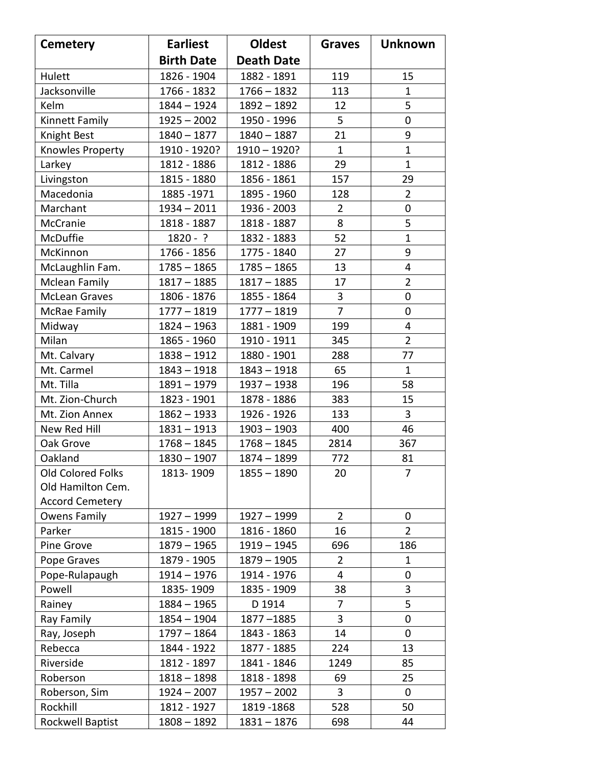| <b>Cemetery</b>        | <b>Earliest</b>   | <b>Oldest</b>     | <b>Graves</b>  | <b>Unknown</b> |
|------------------------|-------------------|-------------------|----------------|----------------|
|                        | <b>Birth Date</b> | <b>Death Date</b> |                |                |
| Hulett                 | 1826 - 1904       | 1882 - 1891       | 119            | 15             |
| Jacksonville           | 1766 - 1832       | $1766 - 1832$     | 113            | 1              |
| Kelm                   | $1844 - 1924$     | $1892 - 1892$     | 12             | 5              |
| Kinnett Family         | $1925 - 2002$     | 1950 - 1996       | 5              | $\mathbf 0$    |
| Knight Best            | $1840 - 1877$     | $1840 - 1887$     | 21             | 9              |
| Knowles Property       | 1910 - 1920?      | $1910 - 1920?$    | $\mathbf{1}$   | $\mathbf{1}$   |
| Larkey                 | 1812 - 1886       | 1812 - 1886       | 29             | $\mathbf{1}$   |
| Livingston             | 1815 - 1880       | 1856 - 1861       | 157            | 29             |
| Macedonia              | 1885 - 1971       | 1895 - 1960       | 128            | $\overline{2}$ |
| Marchant               | $1934 - 2011$     | 1936 - 2003       | $\overline{2}$ | 0              |
| McCranie               | 1818 - 1887       | 1818 - 1887       | 8              | 5              |
| McDuffie               | $1820 - ?$        | 1832 - 1883       | 52             | $\mathbf{1}$   |
| McKinnon               | 1766 - 1856       | 1775 - 1840       | 27             | 9              |
| McLaughlin Fam.        | $1785 - 1865$     | $1785 - 1865$     | 13             | 4              |
| <b>Mclean Family</b>   | $1817 - 1885$     | $1817 - 1885$     | 17             | $\overline{2}$ |
| <b>McLean Graves</b>   | 1806 - 1876       | 1855 - 1864       | 3              | 0              |
| McRae Family           | $1777 - 1819$     | $1777 - 1819$     | $\overline{7}$ | $\mathbf 0$    |
| Midway                 | $1824 - 1963$     | 1881 - 1909       | 199            | 4              |
| Milan                  | 1865 - 1960       | 1910 - 1911       | 345            | $\overline{2}$ |
| Mt. Calvary            | $1838 - 1912$     | 1880 - 1901       | 288            | 77             |
| Mt. Carmel             | $1843 - 1918$     | $1843 - 1918$     | 65             | $\mathbf{1}$   |
| Mt. Tilla              | $1891 - 1979$     | $1937 - 1938$     | 196            | 58             |
| Mt. Zion-Church        | 1823 - 1901       | 1878 - 1886       | 383            | 15             |
| Mt. Zion Annex         | $1862 - 1933$     | 1926 - 1926       | 133            | 3              |
| New Red Hill           | $1831 - 1913$     | $1903 - 1903$     | 400            | 46             |
| Oak Grove              | $1768 - 1845$     | $1768 - 1845$     | 2814           | 367            |
| Oakland                | $1830 - 1907$     | $1874 - 1899$     | 772            | 81             |
| Old Colored Folks      | 1813-1909         | $1855 - 1890$     | 20             | 7              |
| Old Hamilton Cem.      |                   |                   |                |                |
| <b>Accord Cemetery</b> |                   |                   |                |                |
| Owens Family           | $1927 - 1999$     | $1927 - 1999$     | $\overline{2}$ | 0              |
| Parker                 | 1815 - 1900       | 1816 - 1860       | 16             | $\overline{2}$ |
| Pine Grove             | 1879 - 1965       | $1919 - 1945$     | 696            | 186            |
| Pope Graves            | 1879 - 1905       | $1879 - 1905$     | $\overline{2}$ | 1              |
| Pope-Rulapaugh         | $1914 - 1976$     | 1914 - 1976       | 4              | 0              |
| Powell                 | 1835-1909         | 1835 - 1909       | 38             | 3              |
| Rainey                 | $1884 - 1965$     | D 1914            | 7              | 5              |
| Ray Family             | $1854 - 1904$     | 1877-1885         | 3              | 0              |
| Ray, Joseph            | 1797 - 1864       | 1843 - 1863       | 14             | 0              |
| Rebecca                | 1844 - 1922       | 1877 - 1885       | 224            | 13             |
| Riverside              | 1812 - 1897       | 1841 - 1846       | 1249           | 85             |
| Roberson               | $1818 - 1898$     | 1818 - 1898       | 69             | 25             |
| Roberson, Sim          | $1924 - 2007$     | $1957 - 2002$     | 3              | 0              |
| Rockhill               | 1812 - 1927       | 1819 - 1868       | 528            | 50             |
| Rockwell Baptist       | $1808 - 1892$     | $1831 - 1876$     | 698            | 44             |